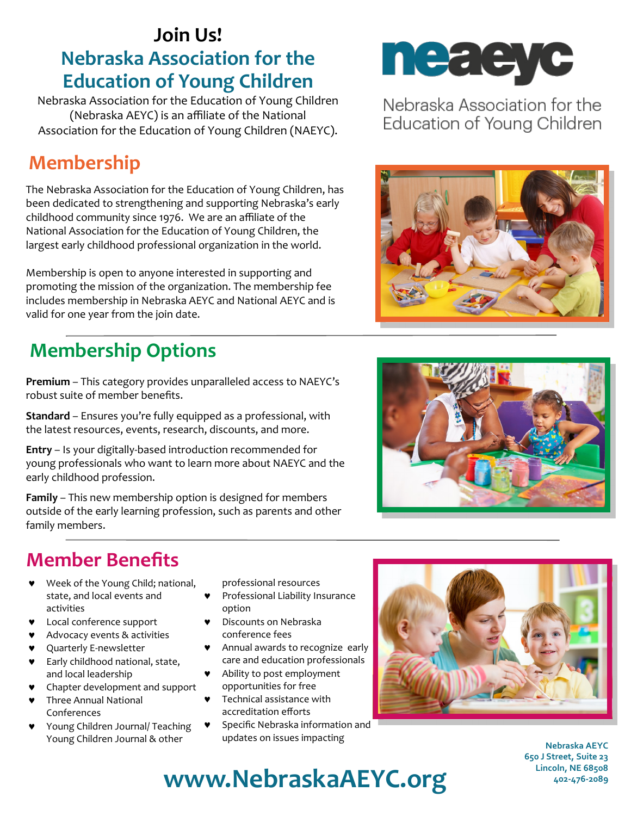#### **Join Us! Nebraska Association for the Education of Young Children**

Nebraska Association for the Education of Young Children (Nebraska AEYC) is an affiliate of the National Association for the Education of Young Children (NAEYC).

### **Membership**

The Nebraska Association for the Education of Young Children, has been dedicated to strengthening and supporting Nebraska's early childhood community since 1976. We are an affiliate of the National Association for the Education of Young Children, the largest early childhood professional organization in the world.

[Membership](http://www.naeyc.org/membership) is open to anyone interested in supporting and promoting the mission of the organization. The membership fee includes membership in Nebraska AEYC and National AEYC and is valid for one year from the join date.

# **Membership Options**

**Premium** – This category provides unparalleled access to NAEYC's robust suite of member benefits.

**Standard** – Ensures you're fully equipped as a professional, with the latest resources, events, research, discounts, and more.

**Entry** – Is your digitally-based introduction recommended for young professionals who want to learn more about NAEYC and the early childhood profession.

**Family** – This new membership option is designed for members outside of the early learning profession, such as parents and other family members.

#### **Member Benefits**

- Week of the Young Child; national, state, and local events and activities
- **v** Local conference support
- Advocacy events & activities
- Quarterly E-newsletter
- **v** Early childhood national, state, and local leadership
- **v** Chapter development and support
- **v** Three Annual National Conferences
- Young Children Journal/ Teaching Young Children Journal & other

professional resources

- Professional Liability Insurance option
- Discounts on Nebraska conference fees
- Annual awards to recognize early care and education professionals
- Ability to post employment opportunities for free
- Technical assistance with accreditation efforts
- **v** Specific Nebraska information and updates on issues impacting



Nebraska Association for the Education of Young Children







**Nebraska AEYC 650 J Street, Suite 23 Lincoln, NE 68508 402-476-2089** 

# **www.NebraskaAEYC.org**